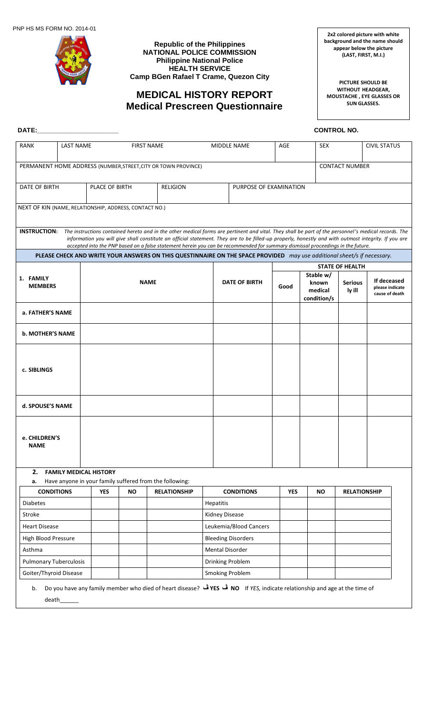

**Republic of the Philippines NATIONAL POLICE COMMISSION Philippine National Police HEALTH SERVICE Camp BGen Rafael T Crame, Quezon City**

# **MEDICAL HISTORY REPORT Medical Prescreen Questionnaire**

**2x2 colored picture with white background and the name should appear below the picture (LAST, FIRST, M.I.)**

**PICTURE SHOULD BE WITHOUT HEADGEAR, MOUSTACHE , EYE GLASSES OR SUN GLASSES.**

| DATE:                                                  |                               |                |                   |                                                                                                                                                                                                                                                                                                                                                                                                                                                              |                        |                           |            | <b>CONTROL NO.</b>                           |                          |                                                  |
|--------------------------------------------------------|-------------------------------|----------------|-------------------|--------------------------------------------------------------------------------------------------------------------------------------------------------------------------------------------------------------------------------------------------------------------------------------------------------------------------------------------------------------------------------------------------------------------------------------------------------------|------------------------|---------------------------|------------|----------------------------------------------|--------------------------|--------------------------------------------------|
| <b>RANK</b>                                            | <b>LAST NAME</b>              |                | <b>FIRST NAME</b> |                                                                                                                                                                                                                                                                                                                                                                                                                                                              |                        | <b>MIDDLE NAME</b>        | AGE        | <b>SEX</b>                                   |                          | <b>CIVIL STATUS</b>                              |
|                                                        |                               |                |                   | PERMANENT HOME ADDRESS (NUMBER, STREET, CITY OR TOWN PROVINCE)                                                                                                                                                                                                                                                                                                                                                                                               |                        |                           |            |                                              | <b>CONTACT NUMBER</b>    |                                                  |
| DATE OF BIRTH                                          |                               | PLACE OF BIRTH |                   | <b>RELIGION</b>                                                                                                                                                                                                                                                                                                                                                                                                                                              | PURPOSE OF EXAMINATION |                           |            |                                              |                          |                                                  |
| NEXT OF KIN (NAME, RELATIONSHIP, ADDRESS, CONTACT NO.) |                               |                |                   |                                                                                                                                                                                                                                                                                                                                                                                                                                                              |                        |                           |            |                                              |                          |                                                  |
|                                                        |                               |                |                   | INSTRUCTION: The instructions contained hereto and in the other medical forms are pertinent and vital. They shall be part of the personnel's medical records. The<br>information you will give shall constitute an official statement. They are to be filled-up properly, honestly and with outmost integrity. If you are<br>accepted into the PNP based on a false statement herein you can be recommended for summary dismissal proceedings in the future. |                        |                           |            |                                              |                          |                                                  |
|                                                        |                               |                |                   | PLEASE CHECK AND WRITE YOUR ANSWERS ON THIS QUESTINNAIRE ON THE SPACE PROVIDED may use additional sheet/s if necessary.                                                                                                                                                                                                                                                                                                                                      |                        |                           |            |                                              |                          |                                                  |
|                                                        |                               |                |                   |                                                                                                                                                                                                                                                                                                                                                                                                                                                              |                        |                           |            |                                              | <b>STATE OF HEALTH</b>   |                                                  |
| 1. FAMILY<br><b>MEMBERS</b>                            |                               |                | <b>NAME</b>       |                                                                                                                                                                                                                                                                                                                                                                                                                                                              |                        | <b>DATE OF BIRTH</b>      | Good       | Stable w/<br>known<br>medical<br>condition/s | <b>Serious</b><br>ly ill | If deceased<br>please indicate<br>cause of death |
| a. FATHER'S NAME                                       |                               |                |                   |                                                                                                                                                                                                                                                                                                                                                                                                                                                              |                        |                           |            |                                              |                          |                                                  |
| <b>b. MOTHER'S NAME</b>                                |                               |                |                   |                                                                                                                                                                                                                                                                                                                                                                                                                                                              |                        |                           |            |                                              |                          |                                                  |
| c. SIBLINGS                                            |                               |                |                   |                                                                                                                                                                                                                                                                                                                                                                                                                                                              |                        |                           |            |                                              |                          |                                                  |
| d. SPOUSE'S NAME                                       |                               |                |                   |                                                                                                                                                                                                                                                                                                                                                                                                                                                              |                        |                           |            |                                              |                          |                                                  |
| e. CHILDREN'S<br><b>NAME</b>                           |                               |                |                   |                                                                                                                                                                                                                                                                                                                                                                                                                                                              |                        |                           |            |                                              |                          |                                                  |
| 2.<br>а.                                               | <b>FAMILY MEDICAL HISTORY</b> |                |                   | Have anyone in your family suffered from the following:                                                                                                                                                                                                                                                                                                                                                                                                      |                        |                           |            |                                              |                          |                                                  |
| <b>CONDITIONS</b>                                      |                               | <b>YES</b>     | <b>NO</b>         | <b>RELATIONSHIP</b>                                                                                                                                                                                                                                                                                                                                                                                                                                          |                        | <b>CONDITIONS</b>         | <b>YES</b> | <b>NO</b>                                    | <b>RELATIONSHIP</b>      |                                                  |
| <b>Diabetes</b>                                        |                               |                |                   |                                                                                                                                                                                                                                                                                                                                                                                                                                                              | Hepatitis              |                           |            |                                              |                          |                                                  |
| Stroke                                                 |                               |                |                   |                                                                                                                                                                                                                                                                                                                                                                                                                                                              | <b>Kidney Disease</b>  |                           |            |                                              |                          |                                                  |
| <b>Heart Disease</b>                                   |                               |                |                   |                                                                                                                                                                                                                                                                                                                                                                                                                                                              |                        | Leukemia/Blood Cancers    |            |                                              |                          |                                                  |
| High Blood Pressure                                    |                               |                |                   |                                                                                                                                                                                                                                                                                                                                                                                                                                                              |                        | <b>Bleeding Disorders</b> |            |                                              |                          |                                                  |
| Asthma                                                 |                               |                |                   |                                                                                                                                                                                                                                                                                                                                                                                                                                                              | <b>Mental Disorder</b> |                           |            |                                              |                          |                                                  |
| <b>Pulmonary Tuberculosis</b>                          |                               |                |                   |                                                                                                                                                                                                                                                                                                                                                                                                                                                              |                        | Drinking Problem          |            |                                              |                          |                                                  |
| Goiter/Thyroid Disease                                 |                               |                |                   |                                                                                                                                                                                                                                                                                                                                                                                                                                                              |                        | <b>Smoking Problem</b>    |            |                                              |                          |                                                  |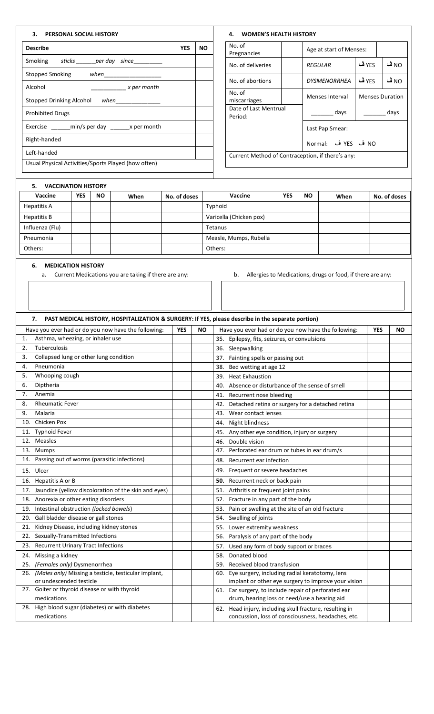# **3. PERSONAL SOCIAL HISTORY**

| <b>Describe</b>                                     | <b>YES</b> | NΟ |
|-----------------------------------------------------|------------|----|
| Smoking<br>sticks per day since                     |            |    |
| Stopped Smoking when                                |            |    |
| Alcohol<br>x per month                              |            |    |
| Stopped Drinking Alcohol when                       |            |    |
| <b>Prohibited Drugs</b>                             |            |    |
|                                                     |            |    |
| Right-handed                                        |            |    |
| Left-handed                                         |            |    |
| Usual Physical Activities/Sports Played (how often) |            |    |

| <b>WOMEN'S HEALTH HISTORY</b><br>4.              |                 |                         |       |                        |  |  |  |  |
|--------------------------------------------------|-----------------|-------------------------|-------|------------------------|--|--|--|--|
| No. of<br>Pregnancies                            |                 | Age at start of Menses: |       |                        |  |  |  |  |
| No. of deliveries                                |                 | <b>REGULAR</b>          | YES ف | NO ڤ                   |  |  |  |  |
| No. of abortions                                 |                 | <b>DYSMENORRHEA</b>     | YES ڤ | NO ڤ                   |  |  |  |  |
| No. of<br>miscarriages                           |                 | Menses Interval         |       | <b>Menses Duration</b> |  |  |  |  |
| Date of Last Mentrual<br>Period:                 | days            | days                    |       |                        |  |  |  |  |
|                                                  | Last Pap Smear: |                         |       |                        |  |  |  |  |
|                                                  |                 | NO ڤ YES ڤ Normal:      |       |                        |  |  |  |  |
| Current Method of Contraception, if there's any: |                 |                         |       |                        |  |  |  |  |

## **5. VACCINATION HISTORY**

| Vaccine         | <b>YES</b> | <b>NO</b> | When | No. of doses | Vaccine                 | YES | <b>NO</b> | When | No. of doses |
|-----------------|------------|-----------|------|--------------|-------------------------|-----|-----------|------|--------------|
| Hepatitis A     |            |           |      |              | Typhoid                 |     |           |      |              |
| Hepatitis B     |            |           |      |              | Varicella (Chicken pox) |     |           |      |              |
| Influenza (Flu) |            |           |      |              | Tetanus                 |     |           |      |              |
| Pneumonia       |            |           |      |              | Measle, Mumps, Rubella  |     |           |      |              |
| Others:         |            |           |      |              | Others:                 |     |           |      |              |

## **6. MEDICATION HISTORY**

a. Current Medications you are taking if there are any: b. Allergies to Medications, drugs or food, if there are any:

| PAST MEDICAL HISTORY, HOSPITALIZATION & SURGERY: If YES, please describe in the separate portion)<br>7. |            |           |                                                         |            |    |
|---------------------------------------------------------------------------------------------------------|------------|-----------|---------------------------------------------------------|------------|----|
| Have you ever had or do you now have the following:                                                     | <b>YES</b> | <b>NO</b> | Have you ever had or do you now have the following:     | <b>YES</b> | ΝO |
| Asthma, wheezing, or inhaler use<br>1.                                                                  |            |           | 35. Epilepsy, fits, seizures, or convulsions            |            |    |
| Tuberculosis<br>2.                                                                                      |            |           | 36. Sleepwalking                                        |            |    |
| Collapsed lung or other lung condition<br>3.                                                            |            |           | 37. Fainting spells or passing out                      |            |    |
| Pneumonia<br>4.                                                                                         |            |           | Bed wetting at age 12<br>38.                            |            |    |
| Whooping cough<br>5.                                                                                    |            |           | 39. Heat Exhaustion                                     |            |    |
| 6.<br>Diptheria                                                                                         |            |           | Absence or disturbance of the sense of smell<br>40.     |            |    |
| 7.<br>Anemia                                                                                            |            |           | 41. Recurrent nose bleeding                             |            |    |
| 8.<br><b>Rheumatic Fever</b>                                                                            |            |           | Detached retina or surgery for a detached retina<br>42. |            |    |
| 9.<br>Malaria                                                                                           |            |           | 43. Wear contact lenses                                 |            |    |
| 10. Chicken Pox                                                                                         |            |           | 44. Night blindness                                     |            |    |
| 11. Typhoid Fever                                                                                       |            |           | 45. Any other eye condition, injury or surgery          |            |    |
| 12. Measles                                                                                             |            |           | 46. Double vision                                       |            |    |
| 13. Mumps                                                                                               |            |           | 47. Perforated ear drum or tubes in ear drum/s          |            |    |
| 14. Passing out of worms (parasitic infections)                                                         |            |           | Recurrent ear infection<br>48.                          |            |    |
| 15. Ulcer                                                                                               |            |           | 49. Frequent or severe headaches                        |            |    |
| 16. Hepatitis A or B                                                                                    |            |           | 50. Recurrent neck or back pain                         |            |    |
| 17. Jaundice (yellow discoloration of the skin and eyes)                                                |            |           | 51. Arthritis or frequent joint pains                   |            |    |
| 18. Anorexia or other eating disorders                                                                  |            |           | 52. Fracture in any part of the body                    |            |    |
| 19. Intestinal obstruction (locked bowels)                                                              |            |           | 53. Pain or swelling at the site of an old fracture     |            |    |
| 20. Gall bladder disease or gall stones                                                                 |            |           | 54. Swelling of joints                                  |            |    |
| 21. Kidney Disease, including kidney stones                                                             |            |           | 55. Lower extremity weakness                            |            |    |
| Sexually-Transmitted Infections<br>22.                                                                  |            |           | Paralysis of any part of the body<br>56.                |            |    |
| <b>Recurrent Urinary Tract Infections</b><br>23.                                                        |            |           | Used any form of body support or braces<br>57.          |            |    |
| Missing a kidney<br>24.                                                                                 |            |           | Donated blood<br>58.                                    |            |    |
| (Females only) Dysmenorrhea<br>25.                                                                      |            |           | 59. Received blood transfusion                          |            |    |
| 26. (Males only) Missing a testicle, testicular implant,                                                |            |           | 60. Eye surgery, including radial keratotomy, lens      |            |    |
| or undescended testicle                                                                                 |            |           | implant or other eye surgery to improve your vision     |            |    |
| 27. Goiter or thyroid disease or with thyroid                                                           |            |           | 61. Ear surgery, to include repair of perforated ear    |            |    |
| medications                                                                                             |            |           | drum, hearing loss or need/use a hearing aid            |            |    |
| 28. High blood sugar (diabetes) or with diabetes                                                        |            |           | 62. Head injury, including skull fracture, resulting in |            |    |
| medications                                                                                             |            |           | concussion, loss of consciousness, headaches, etc.      |            |    |